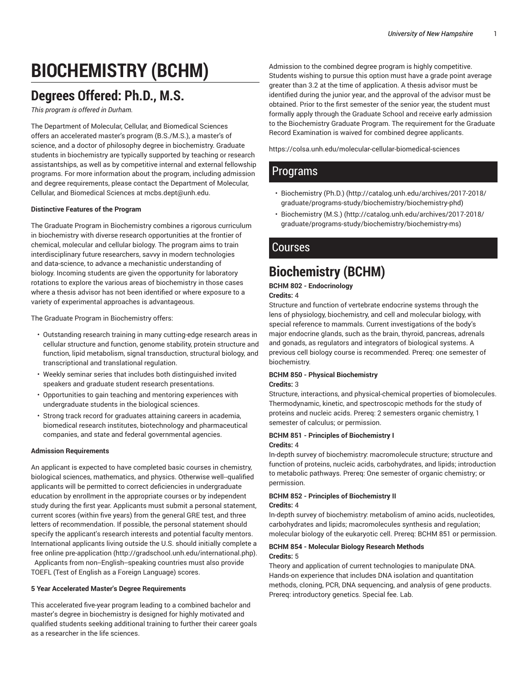# **BIOCHEMISTRY (BCHM)**

## **Degrees Offered: Ph.D., M.S.**

*This program is offered in Durham.*

The Department of Molecular, Cellular, and Biomedical Sciences offers an accelerated master's program (B.S./M.S.), a master's of science, and a doctor of philosophy degree in biochemistry. Graduate students in biochemistry are typically supported by teaching or research assistantships, as well as by competitive internal and external fellowship programs. For more information about the program, including admission and degree requirements, please contact the Department of Molecular, Cellular, and Biomedical Sciences at mcbs.dept@unh.edu.

#### **Distinctive Features of the Program**

The Graduate Program in Biochemistry combines a rigorous curriculum in biochemistry with diverse research opportunities at the frontier of chemical, molecular and cellular biology. The program aims to train interdisciplinary future researchers, savvy in modern technologies and data-science, to advance a mechanistic understanding of biology. Incoming students are given the opportunity for laboratory rotations to explore the various areas of biochemistry in those cases where a thesis advisor has not been identified or where exposure to a variety of experimental approaches is advantageous.

The Graduate Program in Biochemistry offers:

- Outstanding research training in many cutting-edge research areas in cellular structure and function, genome stability, protein structure and function, lipid metabolism, signal transduction, structural biology, and transcriptional and translational regulation.
- Weekly seminar series that includes both distinguished invited speakers and graduate student research presentations.
- Opportunities to gain teaching and mentoring experiences with undergraduate students in the biological sciences.
- Strong track record for graduates attaining careers in academia, biomedical research institutes, biotechnology and pharmaceutical companies, and state and federal governmental agencies.

#### **Admission Requirements**

An applicant is expected to have completed basic courses in chemistry, biological sciences, mathematics, and physics. Otherwise well-qualified applicants will be permitted to correct deficiencies in undergraduate education by enrollment in the appropriate courses or by independent study during the first year. Applicants must submit a personal statement, current scores (within five years) from the general GRE test, and three letters of recommendation. If possible, the personal statement should specify the applicant's research interests and potential faculty mentors. International applicants living outside the U.S. should initially complete a free online pre-application (http://gradschool.unh.edu/international.php). Applicants from non-English-speaking countries must also provide TOEFL (Test of English as a Foreign Language) scores.

#### **5 Year Accelerated Master's Degree Requirements**

This accelerated five-year program leading to a combined bachelor and master's degree in biochemistry is designed for highly motivated and qualified students seeking additional training to further their career goals as a researcher in the life sciences.

Admission to the combined degree program is highly competitive. Students wishing to pursue this option must have a grade point average greater than 3.2 at the time of application. A thesis advisor must be identified during the junior year, and the approval of the advisor must be obtained. Prior to the first semester of the senior year, the student must formally apply through the Graduate School and receive early admission to the Biochemistry Graduate Program. The requirement for the Graduate Record Examination is waived for combined degree applicants.

https://colsa.unh.edu/molecular-cellular-biomedical-sciences

## **Programs**

- Biochemistry (Ph.D.) (http://catalog.unh.edu/archives/2017-2018/ graduate/programs-study/biochemistry/biochemistry-phd)
- Biochemistry (M.S.) (http://catalog.unh.edu/archives/2017-2018/ graduate/programs-study/biochemistry/biochemistry-ms)

### Courses

## **Biochemistry (BCHM)**

**BCHM 802 - Endocrinology Credits:** 4

Structure and function of vertebrate endocrine systems through the lens of physiology, biochemistry, and cell and molecular biology, with special reference to mammals. Current investigations of the body's major endocrine glands, such as the brain, thyroid, pancreas, adrenals and gonads, as regulators and integrators of biological systems. A previous cell biology course is recommended. Prereq: one semester of biochemistry.

#### **BCHM 850 - Physical Biochemistry**

**Credits:** 3

Structure, interactions, and physical-chemical properties of biomolecules. Thermodynamic, kinetic, and spectroscopic methods for the study of proteins and nucleic acids. Prereq: 2 semesters organic chemistry, 1 semester of calculus; or permission.

#### **BCHM 851 - Principles of Biochemistry I Credits:** 4

In-depth survey of biochemistry: macromolecule structure; structure and function of proteins, nucleic acids, carbohydrates, and lipids; introduction to metabolic pathways. Prereq: One semester of organic chemistry; or permission.

## **BCHM 852 - Principles of Biochemistry II**

**Credits:** 4

In-depth survey of biochemistry: metabolism of amino acids, nucleotides, carbohydrates and lipids; macromolecules synthesis and regulation; molecular biology of the eukaryotic cell. Prereq: BCHM 851 or permission.

#### **BCHM 854 - Molecular Biology Research Methods Credits:** 5

Theory and application of current technologies to manipulate DNA. Hands-on experience that includes DNA isolation and quantitation methods, cloning, PCR, DNA sequencing, and analysis of gene products. Prereq: introductory genetics. Special fee. Lab.